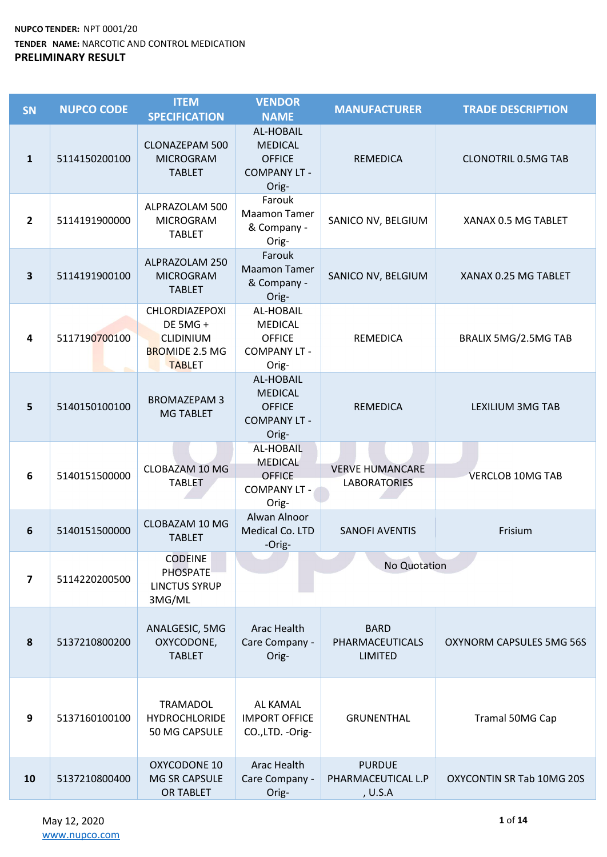| <b>SN</b>               | <b>NUPCO CODE</b> | <b>ITEM</b><br><b>SPECIFICATION</b>                                                             | <b>VENDOR</b><br><b>NAME</b>                                                 | <b>MANUFACTURER</b>                              | <b>TRADE DESCRIPTION</b>         |
|-------------------------|-------------------|-------------------------------------------------------------------------------------------------|------------------------------------------------------------------------------|--------------------------------------------------|----------------------------------|
| $\mathbf{1}$            | 5114150200100     | <b>CLONAZEPAM 500</b><br><b>MICROGRAM</b><br><b>TABLET</b>                                      | AL-HOBAIL<br><b>MEDICAL</b><br><b>OFFICE</b><br><b>COMPANY LT -</b><br>Orig- | <b>REMEDICA</b>                                  | <b>CLONOTRIL 0.5MG TAB</b>       |
| $\overline{2}$          | 5114191900000     | ALPRAZOLAM 500<br><b>MICROGRAM</b><br><b>TABLET</b>                                             | Farouk<br><b>Maamon Tamer</b><br>& Company -<br>Orig-                        | SANICO NV, BELGIUM                               | XANAX 0.5 MG TABLET              |
| 3                       | 5114191900100     | ALPRAZOLAM 250<br><b>MICROGRAM</b><br><b>TABLET</b>                                             | Farouk<br><b>Maamon Tamer</b><br>& Company -<br>Orig-                        | SANICO NV, BELGIUM                               | XANAX 0.25 MG TABLET             |
| 4                       | 5117190700100     | CHLORDIAZEPOXI<br><b>DE 5MG +</b><br><b>CLIDINIUM</b><br><b>BROMIDE 2.5 MG</b><br><b>TABLET</b> | AL-HOBAIL<br><b>MEDICAL</b><br><b>OFFICE</b><br><b>COMPANY LT -</b><br>Orig- | <b>REMEDICA</b>                                  | BRALIX 5MG/2.5MG TAB             |
| 5                       | 5140150100100     | <b>BROMAZEPAM 3</b><br><b>MG TABLET</b>                                                         | AL-HOBAIL<br><b>MEDICAL</b><br><b>OFFICE</b><br><b>COMPANY LT -</b><br>Orig- | <b>REMEDICA</b>                                  | <b>LEXILIUM 3MG TAB</b>          |
| 6                       | 5140151500000     | <b>CLOBAZAM 10 MG</b><br><b>TABLET</b>                                                          | AL-HOBAIL<br><b>MEDICAL</b><br><b>OFFICE</b><br><b>COMPANY LT -</b><br>Orig- | <b>VERVE HUMANCARE</b><br><b>LABORATORIES</b>    | <b>VERCLOB 10MG TAB</b>          |
| 6                       | 5140151500000     | <b>CLOBAZAM 10 MG</b><br><b>TABLET</b>                                                          | Alwan Alnoor<br>Medical Co. LTD<br>-Orig-                                    | <b>SANOFI AVENTIS</b>                            | Frisium                          |
| $\overline{\mathbf{z}}$ | 5114220200500     | <b>CODEINE</b><br><b>PHOSPATE</b><br><b>LINCTUS SYRUP</b><br>3MG/ML                             |                                                                              | No Quotation                                     |                                  |
| 8                       | 5137210800200     | ANALGESIC, 5MG<br>OXYCODONE,<br><b>TABLET</b>                                                   | <b>Arac Health</b><br>Care Company -<br>Orig-                                | <b>BARD</b><br>PHARMACEUTICALS<br><b>LIMITED</b> | OXYNORM CAPSULES 5MG 56S         |
| 9                       | 5137160100100     | <b>TRAMADOL</b><br><b>HYDROCHLORIDE</b><br>50 MG CAPSULE                                        | <b>AL KAMAL</b><br><b>IMPORT OFFICE</b><br>CO.,LTD. - Orig-                  | <b>GRUNENTHAL</b>                                | Tramal 50MG Cap                  |
| 10                      | 5137210800400     | OXYCODONE 10<br><b>MG SR CAPSULE</b><br>OR TABLET                                               | <b>Arac Health</b><br>Care Company -<br>Orig-                                | <b>PURDUE</b><br>PHARMACEUTICAL L.P<br>, U.S.A   | <b>OXYCONTIN SR Tab 10MG 20S</b> |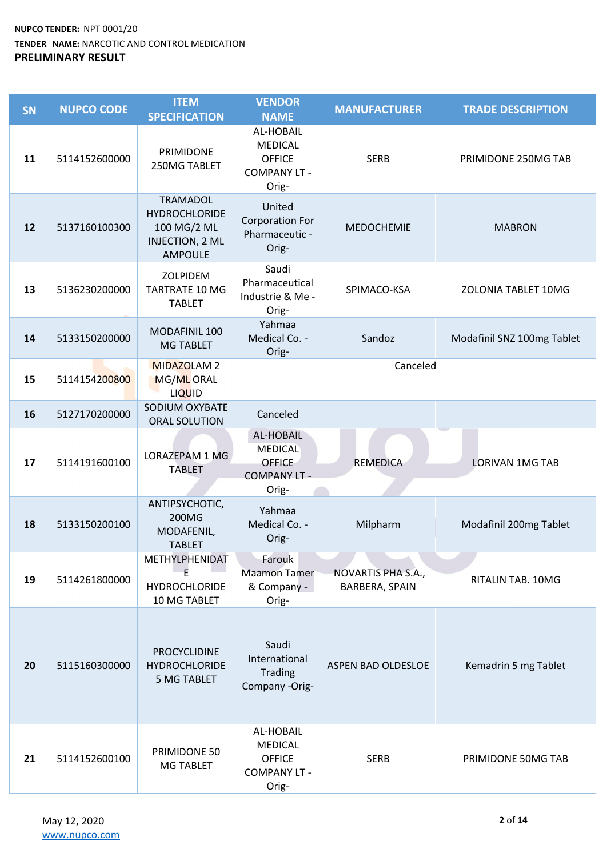| <b>SN</b> | <b>NUPCO CODE</b> | <b>ITEM</b><br><b>SPECIFICATION</b>                                                         | <b>VENDOR</b><br><b>NAME</b>                                                 | <b>MANUFACTURER</b>                  | <b>TRADE DESCRIPTION</b>   |
|-----------|-------------------|---------------------------------------------------------------------------------------------|------------------------------------------------------------------------------|--------------------------------------|----------------------------|
| 11        | 5114152600000     | PRIMIDONE<br>250MG TABLET                                                                   | AL-HOBAIL<br><b>MEDICAL</b><br><b>OFFICE</b><br><b>COMPANY LT -</b><br>Orig- | <b>SERB</b>                          | PRIMIDONE 250MG TAB        |
| 12        | 5137160100300     | <b>TRAMADOL</b><br><b>HYDROCHLORIDE</b><br>100 MG/2 ML<br>INJECTION, 2 ML<br><b>AMPOULE</b> | United<br><b>Corporation For</b><br>Pharmaceutic -<br>Orig-                  | <b>MEDOCHEMIE</b>                    | <b>MABRON</b>              |
| 13        | 5136230200000     | ZOLPIDEM<br><b>TARTRATE 10 MG</b><br><b>TABLET</b>                                          | Saudi<br>Pharmaceutical<br>Industrie & Me -<br>Orig-                         | SPIMACO-KSA                          | ZOLONIA TABLET 10MG        |
| 14        | 5133150200000     | MODAFINIL 100<br><b>MG TABLET</b>                                                           | Yahmaa<br>Medical Co. -<br>Orig-                                             | Sandoz                               | Modafinil SNZ 100mg Tablet |
| 15        | 5114154200800     | <b>MIDAZOLAM 2</b><br>MG/ML ORAL<br><b>LIQUID</b>                                           |                                                                              | Canceled                             |                            |
| 16        | 5127170200000     | SODIUM OXYBATE<br>ORAL SOLUTION                                                             | Canceled                                                                     |                                      |                            |
| 17        | 5114191600100     | LORAZEPAM 1 MG<br><b>TABLET</b>                                                             | AL-HOBAIL<br><b>MEDICAL</b><br><b>OFFICE</b><br><b>COMPANY LT -</b><br>Orig- | <b>REMEDICA</b>                      | <b>LORIVAN 1MG TAB</b>     |
| 18        | 5133150200100     | ANTIPSYCHOTIC,<br>200MG<br>MODAFENIL,<br><b>TABLET</b>                                      | Yahmaa<br>Medical Co. -<br>Orig-                                             | Milpharm                             | Modafinil 200mg Tablet     |
| 19        | 5114261800000     | METHYLPHENIDAT<br>E<br><b>HYDROCHLORIDE</b><br>10 MG TABLET                                 | Farouk<br><b>Maamon Tamer</b><br>& Company -<br>Orig-                        | NOVARTIS PHA S.A.,<br>BARBERA, SPAIN | RITALIN TAB. 10MG          |
| 20        | 5115160300000     | <b>PROCYCLIDINE</b><br><b>HYDROCHLORIDE</b><br><b>5 MG TABLET</b>                           | Saudi<br>International<br><b>Trading</b><br>Company -Orig-                   | <b>ASPEN BAD OLDESLOE</b>            | Kemadrin 5 mg Tablet       |
| 21        | 5114152600100     | PRIMIDONE 50<br>MG TABLET                                                                   | AL-HOBAIL<br><b>MEDICAL</b><br><b>OFFICE</b><br><b>COMPANY LT -</b><br>Orig- | <b>SERB</b>                          | PRIMIDONE 50MG TAB         |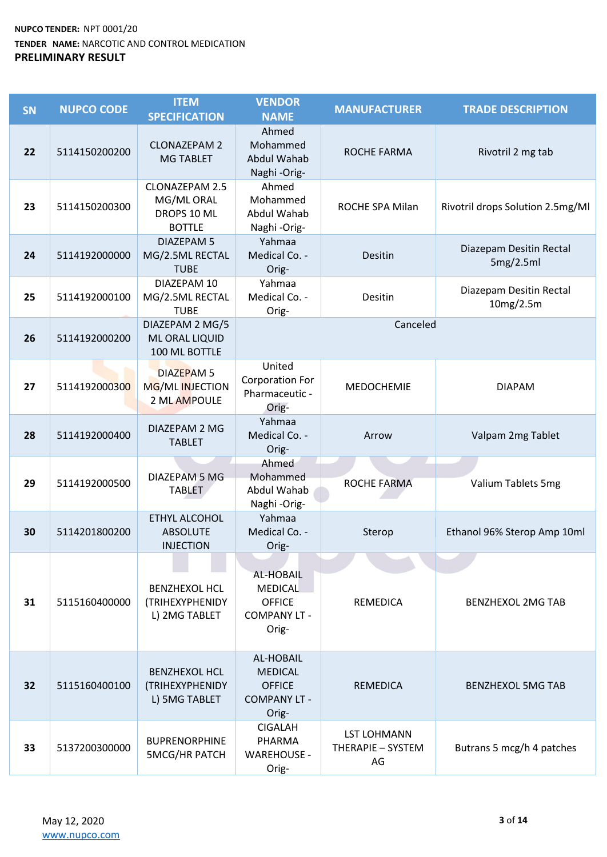| <b>SN</b> | <b>NUPCO CODE</b> | <b>ITEM</b><br><b>SPECIFICATION</b>                                 | <b>VENDOR</b><br><b>NAME</b>                                                 | <b>MANUFACTURER</b>                           | <b>TRADE DESCRIPTION</b>             |
|-----------|-------------------|---------------------------------------------------------------------|------------------------------------------------------------------------------|-----------------------------------------------|--------------------------------------|
| 22        | 5114150200200     | <b>CLONAZEPAM 2</b><br><b>MG TABLET</b>                             | Ahmed<br>Mohammed<br>Abdul Wahab<br>Naghi-Orig-                              | ROCHE FARMA                                   | Rivotril 2 mg tab                    |
| 23        | 5114150200300     | <b>CLONAZEPAM 2.5</b><br>MG/ML ORAL<br>DROPS 10 ML<br><b>BOTTLE</b> | Ahmed<br>Mohammed<br>Abdul Wahab<br>Naghi-Orig-                              | ROCHE SPA Milan                               | Rivotril drops Solution 2.5mg/Ml     |
| 24        | 5114192000000     | <b>DIAZEPAM 5</b><br>MG/2.5ML RECTAL<br><b>TUBE</b>                 | Yahmaa<br>Medical Co. -<br>Orig-                                             | Desitin                                       | Diazepam Desitin Rectal<br>5mg/2.5ml |
| 25        | 5114192000100     | DIAZEPAM 10<br>MG/2.5ML RECTAL<br><b>TUBE</b>                       | Yahmaa<br>Medical Co. -<br>Orig-                                             | Desitin                                       | Diazepam Desitin Rectal<br>10mg/2.5m |
| 26        | 5114192000200     | DIAZEPAM 2 MG/5<br>ML ORAL LIQUID<br>100 ML BOTTLE                  |                                                                              | Canceled                                      |                                      |
| 27        | 5114192000300     | DIAZEPAM <sub>5</sub><br>MG/ML INJECTION<br>2 ML AMPOULE            | United<br><b>Corporation For</b><br>Pharmaceutic -<br>Orig-                  | <b>MEDOCHEMIE</b>                             | <b>DIAPAM</b>                        |
| 28        | 5114192000400     | DIAZEPAM 2 MG<br><b>TABLET</b>                                      | Yahmaa<br>Medical Co. -<br>Orig-                                             | Arrow                                         | Valpam 2mg Tablet                    |
| 29        | 5114192000500     | DIAZEPAM 5 MG<br><b>TABLET</b>                                      | Ahmed<br>Mohammed<br>Abdul Wahab<br>Naghi-Orig-                              | ROCHE FARMA                                   | Valium Tablets 5mg                   |
| 30        | 5114201800200     | ETHYL ALCOHOL<br><b>ABSOLUTE</b><br><b>INJECTION</b>                | Yahmaa<br>Medical Co. -<br>Orig-                                             | Sterop                                        | Ethanol 96% Sterop Amp 10ml          |
| 31        | 5115160400000     | <b>BENZHEXOL HCL</b><br>(TRIHEXYPHENIDY<br>L) 2MG TABLET            | AL-HOBAIL<br>MEDICAL<br><b>OFFICE</b><br><b>COMPANY LT -</b><br>Orig-        | <b>REMEDICA</b>                               | <b>BENZHEXOL 2MG TAB</b>             |
| 32        | 5115160400100     | <b>BENZHEXOL HCL</b><br>(TRIHEXYPHENIDY<br>L) 5MG TABLET            | AL-HOBAIL<br><b>MEDICAL</b><br><b>OFFICE</b><br><b>COMPANY LT -</b><br>Orig- | <b>REMEDICA</b>                               | <b>BENZHEXOL 5MG TAB</b>             |
| 33        | 5137200300000     | <b>BUPRENORPHINE</b><br><b>5MCG/HR PATCH</b>                        | <b>CIGALAH</b><br>PHARMA<br><b>WAREHOUSE -</b><br>Orig-                      | <b>LST LOHMANN</b><br>THERAPIE - SYSTEM<br>AG | Butrans 5 mcg/h 4 patches            |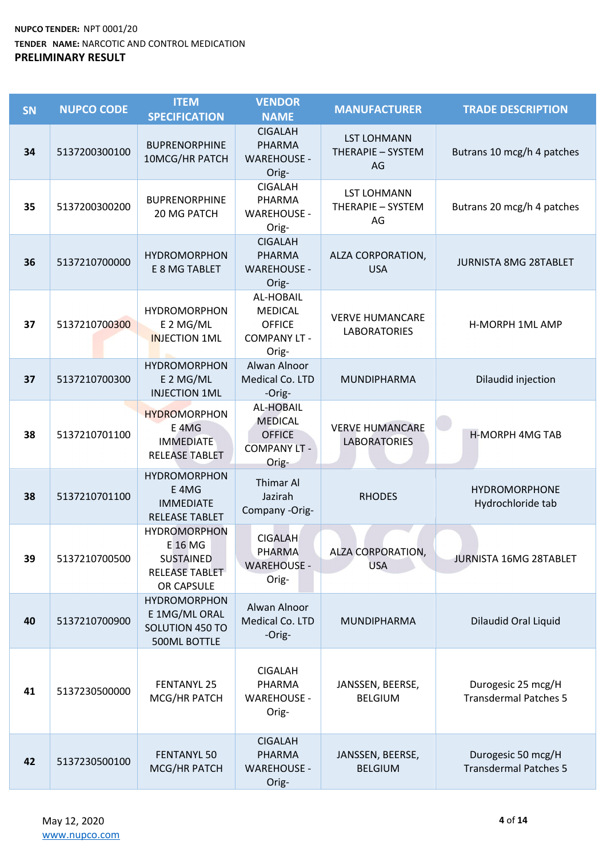| SN | <b>NUPCO CODE</b> | <b>ITEM</b><br><b>SPECIFICATION</b>                                                  | <b>VENDOR</b><br><b>NAME</b>                                                        | <b>MANUFACTURER</b>                           | <b>TRADE DESCRIPTION</b>                           |
|----|-------------------|--------------------------------------------------------------------------------------|-------------------------------------------------------------------------------------|-----------------------------------------------|----------------------------------------------------|
| 34 | 5137200300100     | <b>BUPRENORPHINE</b><br>10MCG/HR PATCH                                               | <b>CIGALAH</b><br>PHARMA<br><b>WAREHOUSE -</b><br>Orig-                             | <b>LST LOHMANN</b><br>THERAPIE - SYSTEM<br>AG | Butrans 10 mcg/h 4 patches                         |
| 35 | 5137200300200     | <b>BUPRENORPHINE</b><br>20 MG PATCH                                                  | <b>CIGALAH</b><br>PHARMA<br><b>WAREHOUSE -</b><br>Orig-                             | <b>LST LOHMANN</b><br>THERAPIE - SYSTEM<br>AG | Butrans 20 mcg/h 4 patches                         |
| 36 | 5137210700000     | <b>HYDROMORPHON</b><br>E 8 MG TABLET                                                 | <b>CIGALAH</b><br><b>PHARMA</b><br><b>WAREHOUSE -</b><br>Orig-                      | ALZA CORPORATION,<br><b>USA</b>               | <b>JURNISTA 8MG 28TABLET</b>                       |
| 37 | 5137210700300     | <b>HYDROMORPHON</b><br>E 2 MG/ML<br><b>INJECTION 1ML</b>                             | AL-HOBAIL<br><b>MEDICAL</b><br><b>OFFICE</b><br><b>COMPANY LT -</b><br>Orig-        | <b>VERVE HUMANCARE</b><br><b>LABORATORIES</b> | <b>H-MORPH 1ML AMP</b>                             |
| 37 | 5137210700300     | <b>HYDROMORPHON</b><br>E 2 MG/ML<br><b>INJECTION 1ML</b>                             | Alwan Alnoor<br>Medical Co. LTD<br>-Orig-                                           | MUNDIPHARMA                                   | Dilaudid injection                                 |
| 38 | 5137210701100     | <b>HYDROMORPHON</b><br>E <sub>4MG</sub><br><b>IMMEDIATE</b><br>RELEASE TABLET        | <b>AL-HOBAIL</b><br><b>MEDICAL</b><br><b>OFFICE</b><br><b>COMPANY LT -</b><br>Orig- | <b>VERVE HUMANCARE</b><br><b>LABORATORIES</b> | <b>H-MORPH 4MG TAB</b>                             |
| 38 | 5137210701100     | <b>HYDROMORPHON</b><br>E <sub>4MG</sub><br><b>IMMEDIATE</b><br><b>RELEASE TABLET</b> | <b>Thimar Al</b><br>Jazirah<br>Company -Orig-                                       | <b>RHODES</b>                                 | <b>HYDROMORPHONE</b><br>Hydrochloride tab          |
| 39 | 5137210700500     | <b>HYDROMORPHON</b><br>E 16 MG<br><b>SUSTAINED</b><br>RELEASE TABLET<br>OR CAPSULE   | <b>CIGALAH</b><br>PHARMA<br><b>WAREHOUSE -</b><br>Orig-                             | ALZA CORPORATION,<br><b>USA</b>               | <b>JURNISTA 16MG 28TABLET</b>                      |
| 40 | 5137210700900     | <b>HYDROMORPHON</b><br>E 1MG/ML ORAL<br>SOLUTION 450 TO<br>500ML BOTTLE              | Alwan Alnoor<br>Medical Co. LTD<br>-Orig-                                           | MUNDIPHARMA                                   | <b>Dilaudid Oral Liquid</b>                        |
| 41 | 5137230500000     | <b>FENTANYL 25</b><br>MCG/HR PATCH                                                   | <b>CIGALAH</b><br>PHARMA<br><b>WAREHOUSE -</b><br>Orig-                             | JANSSEN, BEERSE,<br><b>BELGIUM</b>            | Durogesic 25 mcg/H<br><b>Transdermal Patches 5</b> |
| 42 | 5137230500100     | <b>FENTANYL 50</b><br>MCG/HR PATCH                                                   | <b>CIGALAH</b><br>PHARMA<br><b>WAREHOUSE -</b><br>Orig-                             | JANSSEN, BEERSE,<br><b>BELGIUM</b>            | Durogesic 50 mcg/H<br><b>Transdermal Patches 5</b> |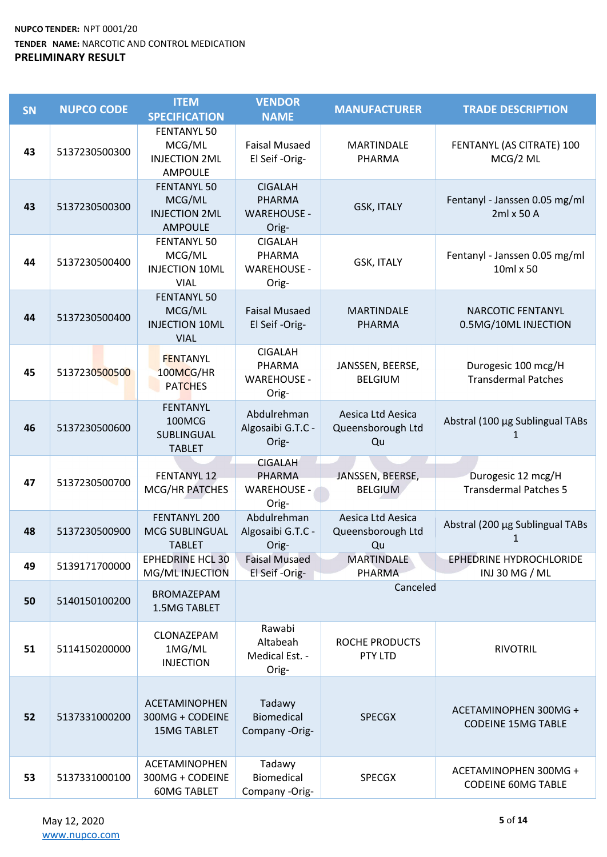| <b>SN</b> | <b>NUPCO CODE</b> | <b>ITEM</b><br><b>SPECIFICATION</b>                                    | <b>VENDOR</b><br><b>NAME</b>                                   | <b>MANUFACTURER</b>                          | <b>TRADE DESCRIPTION</b>                           |
|-----------|-------------------|------------------------------------------------------------------------|----------------------------------------------------------------|----------------------------------------------|----------------------------------------------------|
| 43        | 5137230500300     | <b>FENTANYL 50</b><br>MCG/ML<br><b>INJECTION 2ML</b><br><b>AMPOULE</b> | <b>Faisal Musaed</b><br>El Seif-Orig-                          | <b>MARTINDALE</b><br>PHARMA                  | FENTANYL (AS CITRATE) 100<br>MCG/2 ML              |
| 43        | 5137230500300     | <b>FENTANYL 50</b><br>MCG/ML<br><b>INJECTION 2ML</b><br><b>AMPOULE</b> | <b>CIGALAH</b><br><b>PHARMA</b><br><b>WAREHOUSE -</b><br>Orig- | <b>GSK, ITALY</b>                            | Fentanyl - Janssen 0.05 mg/ml<br>2ml x 50 A        |
| 44        | 5137230500400     | <b>FENTANYL 50</b><br>MCG/ML<br><b>INJECTION 10ML</b><br><b>VIAL</b>   | <b>CIGALAH</b><br>PHARMA<br><b>WAREHOUSE -</b><br>Orig-        | <b>GSK, ITALY</b>                            | Fentanyl - Janssen 0.05 mg/ml<br>10ml x 50         |
| 44        | 5137230500400     | <b>FENTANYL 50</b><br>MCG/ML<br><b>INJECTION 10ML</b><br><b>VIAL</b>   | <b>Faisal Musaed</b><br>El Seif-Orig-                          | <b>MARTINDALE</b><br><b>PHARMA</b>           | <b>NARCOTIC FENTANYL</b><br>0.5MG/10ML INJECTION   |
| 45        | 5137230500500     | <b>FENTANYL</b><br>100MCG/HR<br><b>PATCHES</b>                         | <b>CIGALAH</b><br>PHARMA<br><b>WAREHOUSE -</b><br>Orig-        | JANSSEN, BEERSE,<br><b>BELGIUM</b>           | Durogesic 100 mcg/H<br><b>Transdermal Patches</b>  |
| 46        | 5137230500600     | <b>FENTANYL</b><br>100MCG<br>SUBLINGUAL<br><b>TABLET</b>               | Abdulrehman<br>Algosaibi G.T.C -<br>Orig-                      | Aesica Ltd Aesica<br>Queensborough Ltd<br>Qu | Abstral (100 µg Sublingual TABs<br>1               |
| 47        | 5137230500700     | <b>FENTANYL 12</b><br>MCG/HR PATCHES                                   | <b>CIGALAH</b><br>PHARMA<br><b>WAREHOUSE -</b><br>Orig-        | JANSSEN, BEERSE,<br><b>BELGIUM</b>           | Durogesic 12 mcg/H<br><b>Transdermal Patches 5</b> |
| 48        | 5137230500900     | FENTANYL 200<br>MCG SUBLINGUAL<br><b>TABLET</b>                        | Abdulrehman<br>Algosaibi G.T.C -<br>Orig-                      | Aesica Ltd Aesica<br>Queensborough Ltd<br>Qu | Abstral (200 µg Sublingual TABs<br>1               |
| 49        | 5139171700000     | <b>EPHEDRINE HCL 30</b><br>MG/ML INJECTION                             | <b>Faisal Musaed</b><br>El Seif-Orig-                          | <b>MARTINDALE</b><br>PHARMA                  | EPHEDRINE HYDROCHLORIDE<br>INJ 30 MG / ML          |
| 50        | 5140150100200     | <b>BROMAZEPAM</b><br>1.5MG TABLET                                      |                                                                | Canceled                                     |                                                    |
| 51        | 5114150200000     | CLONAZEPAM<br>1MG/ML<br><b>INJECTION</b>                               | Rawabi<br>Altabeah<br>Medical Est. -<br>Orig-                  | ROCHE PRODUCTS<br>PTY LTD                    | <b>RIVOTRIL</b>                                    |
| 52        | 5137331000200     | <b>ACETAMINOPHEN</b><br>300MG + CODEINE<br><b>15MG TABLET</b>          | Tadawy<br><b>Biomedical</b><br>Company -Orig-                  | <b>SPECGX</b>                                | ACETAMINOPHEN 300MG +<br><b>CODEINE 15MG TABLE</b> |
| 53        | 5137331000100     | <b>ACETAMINOPHEN</b><br>300MG + CODEINE<br><b>60MG TABLET</b>          | Tadawy<br>Biomedical<br>Company -Orig-                         | <b>SPECGX</b>                                | ACETAMINOPHEN 300MG +<br><b>CODEINE 60MG TABLE</b> |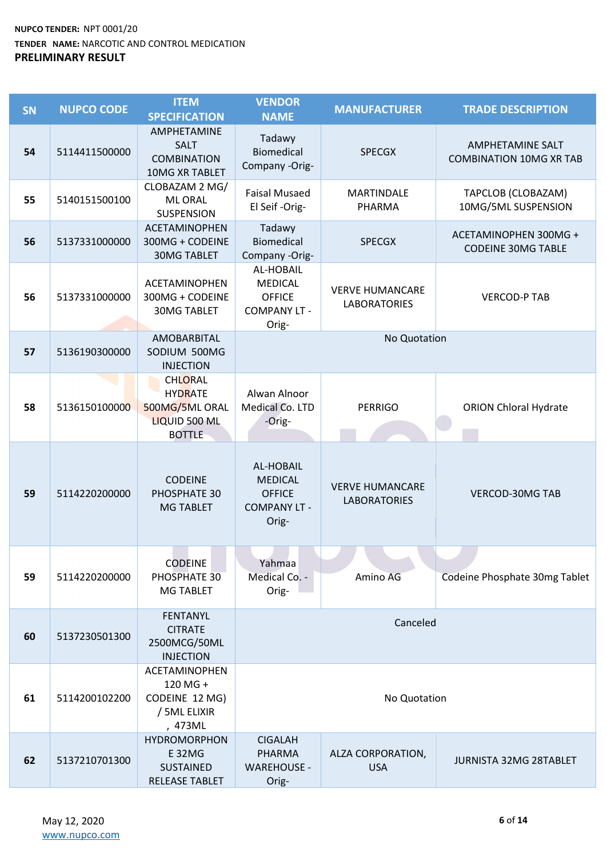| SN | <b>NUPCO CODE</b> | <b>ITEM</b><br><b>SPECIFICATION</b>                                                  | <b>VENDOR</b><br><b>NAME</b>                                                        | <b>MANUFACTURER</b>                           | <b>TRADE DESCRIPTION</b>                                  |
|----|-------------------|--------------------------------------------------------------------------------------|-------------------------------------------------------------------------------------|-----------------------------------------------|-----------------------------------------------------------|
| 54 | 5114411500000     | <b>AMPHETAMINE</b><br><b>SALT</b><br><b>COMBINATION</b><br>10MG XR TABLET            | Tadawy<br><b>Biomedical</b><br>Company -Orig-                                       | <b>SPECGX</b>                                 | <b>AMPHETAMINE SALT</b><br><b>COMBINATION 10MG XR TAB</b> |
| 55 | 5140151500100     | CLOBAZAM 2 MG/<br><b>ML ORAL</b><br>SUSPENSION                                       | <b>Faisal Musaed</b><br>El Seif-Orig-                                               | MARTINDALE<br>PHARMA                          | TAPCLOB (CLOBAZAM)<br>10MG/5ML SUSPENSION                 |
| 56 | 5137331000000     | <b>ACETAMINOPHEN</b><br>300MG + CODEINE<br><b>30MG TABLET</b>                        | Tadawy<br>Biomedical<br>Company -Orig-                                              | <b>SPECGX</b>                                 | ACETAMINOPHEN 300MG +<br><b>CODEINE 30MG TABLE</b>        |
| 56 | 5137331000000     | ACETAMINOPHEN<br>300MG + CODEINE<br><b>30MG TABLET</b>                               | AL-HOBAIL<br><b>MEDICAL</b><br><b>OFFICE</b><br><b>COMPANY LT -</b><br>Orig-        | <b>VERVE HUMANCARE</b><br><b>LABORATORIES</b> | <b>VERCOD-P TAB</b>                                       |
| 57 | 5136190300000     | <b>AMOBARBITAL</b><br>SODIUM 500MG<br><b>INJECTION</b>                               |                                                                                     | No Quotation                                  |                                                           |
| 58 | 5136150100000     | <b>CHLORAL</b><br><b>HYDRATE</b><br>500MG/5ML ORAL<br>LIQUID 500 ML<br><b>BOTTLE</b> | Alwan Alnoor<br>Medical Co. LTD<br>-Orig-                                           | <b>PERRIGO</b>                                | <b>ORION Chloral Hydrate</b>                              |
| 59 | 5114220200000     | <b>CODEINE</b><br>PHOSPHATE 30<br><b>MG TABLET</b>                                   | <b>AL-HOBAIL</b><br><b>MEDICAL</b><br><b>OFFICE</b><br><b>COMPANY LT -</b><br>Orig- | <b>VERVE HUMANCARE</b><br><b>LABORATORIES</b> | <b>VERCOD-30MG TAB</b>                                    |
| 59 | 5114220200000     | <b>CODEINE</b><br>PHOSPHATE 30<br><b>MG TABLET</b>                                   | Yahmaa<br>Medical Co. -<br>Orig-                                                    | Amino AG                                      | Codeine Phosphate 30mg Tablet                             |
| 60 | 5137230501300     | <b>FENTANYL</b><br><b>CITRATE</b><br>2500MCG/50ML<br><b>INJECTION</b>                |                                                                                     | Canceled                                      |                                                           |
| 61 | 5114200102200     | ACETAMINOPHEN<br>120 MG +<br>CODEINE 12 MG)<br>/ 5ML ELIXIR<br>, 473ML               |                                                                                     | No Quotation                                  |                                                           |
| 62 | 5137210701300     | <b>HYDROMORPHON</b><br><b>E32MG</b><br><b>SUSTAINED</b><br>RELEASE TABLET            | <b>CIGALAH</b><br><b>PHARMA</b><br><b>WAREHOUSE -</b><br>Orig-                      | ALZA CORPORATION,<br><b>USA</b>               | <b>JURNISTA 32MG 28TABLET</b>                             |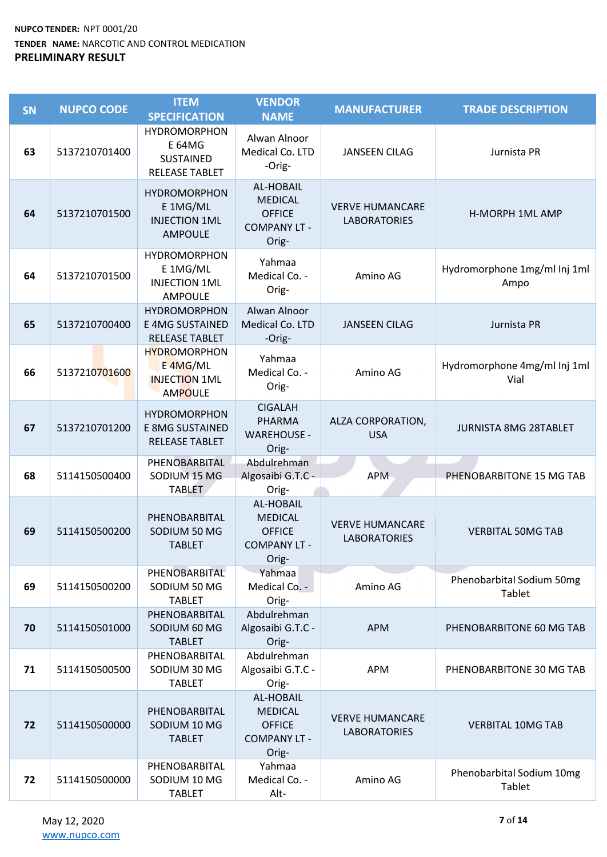| SN | <b>NUPCO CODE</b> | <b>ITEM</b><br><b>SPECIFICATION</b>                                        | <b>VENDOR</b><br><b>NAME</b>                                                        | <b>MANUFACTURER</b>                           | <b>TRADE DESCRIPTION</b>             |
|----|-------------------|----------------------------------------------------------------------------|-------------------------------------------------------------------------------------|-----------------------------------------------|--------------------------------------|
| 63 | 5137210701400     | <b>HYDROMORPHON</b><br>E 64MG<br><b>SUSTAINED</b><br><b>RELEASE TABLET</b> | Alwan Alnoor<br>Medical Co. LTD<br>-Orig-                                           | <b>JANSEEN CILAG</b>                          | Jurnista PR                          |
| 64 | 5137210701500     | <b>HYDROMORPHON</b><br>E 1MG/ML<br><b>INJECTION 1ML</b><br><b>AMPOULE</b>  | AL-HOBAIL<br><b>MEDICAL</b><br><b>OFFICE</b><br><b>COMPANY LT -</b><br>Orig-        | <b>VERVE HUMANCARE</b><br><b>LABORATORIES</b> | <b>H-MORPH 1ML AMP</b>               |
| 64 | 5137210701500     | <b>HYDROMORPHON</b><br>E 1MG/ML<br><b>INJECTION 1ML</b><br><b>AMPOULE</b>  | Yahmaa<br>Medical Co. -<br>Orig-                                                    | Amino AG                                      | Hydromorphone 1mg/ml Inj 1ml<br>Ampo |
| 65 | 5137210700400     | <b>HYDROMORPHON</b><br><b>E 4MG SUSTAINED</b><br><b>RELEASE TABLET</b>     | Alwan Alnoor<br>Medical Co. LTD<br>-Orig-                                           | <b>JANSEEN CILAG</b>                          | Jurnista PR                          |
| 66 | 5137210701600     | <b>HYDROMORPHON</b><br>E 4MG/ML<br><b>INJECTION 1ML</b><br><b>AMPOULE</b>  | Yahmaa<br>Medical Co. -<br>Orig-                                                    | Amino AG                                      | Hydromorphone 4mg/ml Inj 1ml<br>Vial |
| 67 | 5137210701200     | <b>HYDROMORPHON</b><br><b>E 8MG SUSTAINED</b><br><b>RELEASE TABLET</b>     | <b>CIGALAH</b><br><b>PHARMA</b><br><b>WAREHOUSE -</b><br>Orig-                      | ALZA CORPORATION,<br><b>USA</b>               | <b>JURNISTA 8MG 28TABLET</b>         |
| 68 | 5114150500400     | PHENOBARBITAL<br>SODIUM 15 MG<br><b>TABLET</b>                             | Abdulrehman<br>Algosaibi G.T.C -<br>Orig-                                           | <b>APM</b>                                    | PHENOBARBITONE 15 MG TAB             |
| 69 | 5114150500200     | PHENOBARBITAL<br>SODIUM 50 MG<br><b>TABLET</b>                             | AL-HOBAIL<br><b>MEDICAL</b><br><b>OFFICE</b><br><b>COMPANY LT -</b><br>Orig-        | <b>VERVE HUMANCARE</b><br><b>LABORATORIES</b> | <b>VERBITAL 50MG TAB</b>             |
| 69 | 5114150500200     | PHENOBARBITAL<br>SODIUM 50 MG<br><b>TABLET</b>                             | Yahmaa<br>Medical Co. -<br>Orig-                                                    | Amino AG                                      | Phenobarbital Sodium 50mg<br>Tablet  |
| 70 | 5114150501000     | PHENOBARBITAL<br>SODIUM 60 MG<br><b>TABLET</b>                             | Abdulrehman<br>Algosaibi G.T.C -<br>Orig-                                           | <b>APM</b>                                    | PHENOBARBITONE 60 MG TAB             |
| 71 | 5114150500500     | PHENOBARBITAL<br>SODIUM 30 MG<br><b>TABLET</b>                             | Abdulrehman<br>Algosaibi G.T.C -<br>Orig-                                           | <b>APM</b>                                    | PHENOBARBITONE 30 MG TAB             |
| 72 | 5114150500000     | PHENOBARBITAL<br>SODIUM 10 MG<br><b>TABLET</b>                             | <b>AL-HOBAIL</b><br><b>MEDICAL</b><br><b>OFFICE</b><br><b>COMPANY LT -</b><br>Orig- | <b>VERVE HUMANCARE</b><br><b>LABORATORIES</b> | <b>VERBITAL 10MG TAB</b>             |
| 72 | 5114150500000     | PHENOBARBITAL<br>SODIUM 10 MG<br><b>TABLET</b>                             | Yahmaa<br>Medical Co. -<br>Alt-                                                     | Amino AG                                      | Phenobarbital Sodium 10mg<br>Tablet  |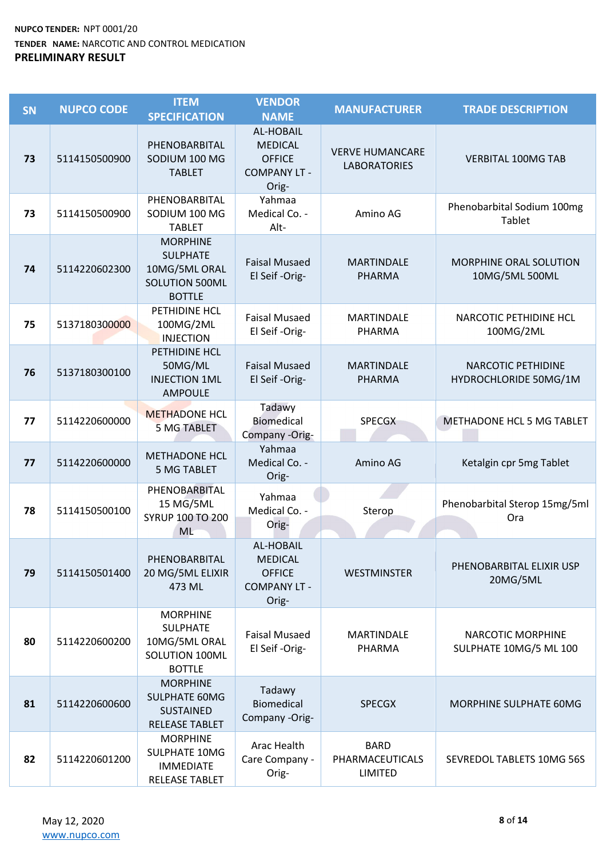| <b>SN</b> | <b>NUPCO CODE</b> | <b>ITEM</b><br><b>SPECIFICATION</b>                                                    | <b>VENDOR</b><br><b>NAME</b>                                                 | <b>MANUFACTURER</b>                              | <b>TRADE DESCRIPTION</b>                    |
|-----------|-------------------|----------------------------------------------------------------------------------------|------------------------------------------------------------------------------|--------------------------------------------------|---------------------------------------------|
| 73        | 5114150500900     | PHENOBARBITAL<br>SODIUM 100 MG<br><b>TABLET</b>                                        | AL-HOBAIL<br><b>MEDICAL</b><br><b>OFFICE</b><br><b>COMPANY LT -</b><br>Orig- | <b>VERVE HUMANCARE</b><br><b>LABORATORIES</b>    | <b>VERBITAL 100MG TAB</b>                   |
| 73        | 5114150500900     | PHENOBARBITAL<br>SODIUM 100 MG<br><b>TABLET</b>                                        | Yahmaa<br>Medical Co. -<br>Alt-                                              | Amino AG                                         | Phenobarbital Sodium 100mg<br>Tablet        |
| 74        | 5114220602300     | <b>MORPHINE</b><br><b>SULPHATE</b><br>10MG/5ML ORAL<br>SOLUTION 500ML<br><b>BOTTLE</b> | <b>Faisal Musaed</b><br>El Seif-Orig-                                        | <b>MARTINDALE</b><br><b>PHARMA</b>               | MORPHINE ORAL SOLUTION<br>10MG/5ML 500ML    |
| 75        | 5137180300000     | PETHIDINE HCL<br>100MG/2ML<br><b>INJECTION</b>                                         | <b>Faisal Musaed</b><br>El Seif-Orig-                                        | <b>MARTINDALE</b><br>PHARMA                      | <b>NARCOTIC PETHIDINE HCL</b><br>100MG/2ML  |
| 76        | 5137180300100     | PETHIDINE HCL<br>50MG/ML<br><b>INJECTION 1ML</b><br><b>AMPOULE</b>                     | <b>Faisal Musaed</b><br>El Seif-Orig-                                        | <b>MARTINDALE</b><br><b>PHARMA</b>               | NARCOTIC PETHIDINE<br>HYDROCHLORIDE 50MG/1M |
| 77        | 5114220600000     | <b>METHADONE HCL</b><br><b>5 MG TABLET</b>                                             | Tadawy<br><b>Biomedical</b><br>Company -Orig-                                | <b>SPECGX</b>                                    | METHADONE HCL 5 MG TABLET                   |
| 77        | 5114220600000     | <b>METHADONE HCL</b><br><b>5 MG TABLET</b>                                             | Yahmaa<br>Medical Co. -<br>Orig-                                             | Amino AG                                         | Ketalgin cpr 5mg Tablet                     |
| 78        | 5114150500100     | PHENOBARBITAL<br>15 MG/5ML<br><b>SYRUP 100 TO 200</b><br>ML                            | Yahmaa<br>Medical Co. -<br>Orig-                                             | Sterop                                           | Phenobarbital Sterop 15mg/5ml<br>Ora        |
| 79        | 5114150501400     | PHENOBARBITAL<br>20 MG/5ML ELIXIR<br>473 ML                                            | AL-HOBAIL<br><b>MEDICAL</b><br><b>OFFICE</b><br><b>COMPANY LT -</b><br>Orig- | <b>WESTMINSTER</b>                               | PHENOBARBITAL ELIXIR USP<br>20MG/5ML        |
| 80        | 5114220600200     | <b>MORPHINE</b><br><b>SULPHATE</b><br>10MG/5ML ORAL<br>SOLUTION 100ML<br><b>BOTTLE</b> | <b>Faisal Musaed</b><br>El Seif-Orig-                                        | <b>MARTINDALE</b><br>PHARMA                      | NARCOTIC MORPHINE<br>SULPHATE 10MG/5 ML 100 |
| 81        | 5114220600600     | <b>MORPHINE</b><br><b>SULPHATE 60MG</b><br><b>SUSTAINED</b><br><b>RELEASE TABLET</b>   | Tadawy<br><b>Biomedical</b><br>Company -Orig-                                | <b>SPECGX</b>                                    | MORPHINE SULPHATE 60MG                      |
| 82        | 5114220601200     | <b>MORPHINE</b><br>SULPHATE 10MG<br><b>IMMEDIATE</b><br>RELEASE TABLET                 | Arac Health<br>Care Company -<br>Orig-                                       | <b>BARD</b><br>PHARMACEUTICALS<br><b>LIMITED</b> | SEVREDOL TABLETS 10MG 56S                   |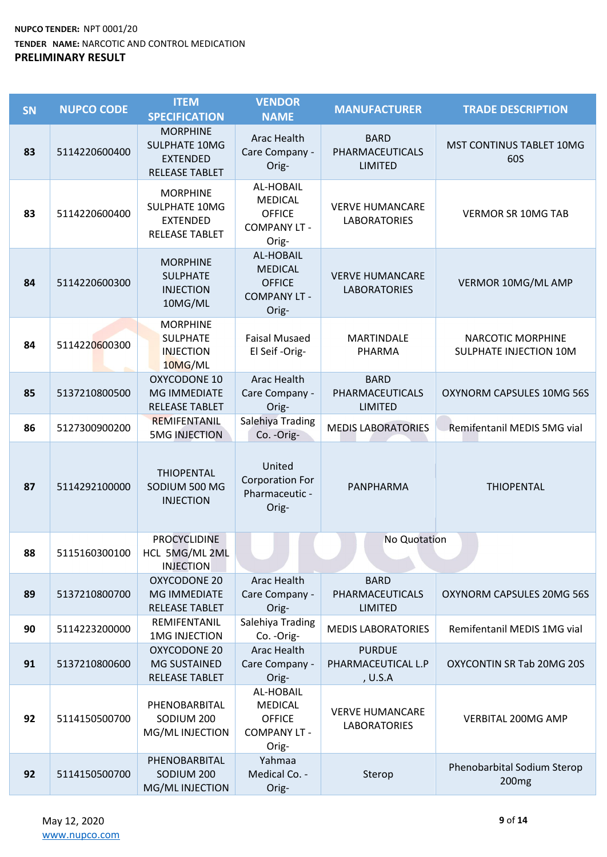| SN | <b>NUPCO CODE</b> | <b>ITEM</b><br><b>SPECIFICATION</b>                                                 | <b>VENDOR</b><br><b>NAME</b>                                                 | <b>MANUFACTURER</b>                              | <b>TRADE DESCRIPTION</b>                           |
|----|-------------------|-------------------------------------------------------------------------------------|------------------------------------------------------------------------------|--------------------------------------------------|----------------------------------------------------|
| 83 | 5114220600400     | <b>MORPHINE</b><br><b>SULPHATE 10MG</b><br><b>EXTENDED</b><br><b>RELEASE TABLET</b> | Arac Health<br>Care Company -<br>Orig-                                       | <b>BARD</b><br>PHARMACEUTICALS<br><b>LIMITED</b> | MST CONTINUS TABLET 10MG<br>60S                    |
| 83 | 5114220600400     | <b>MORPHINE</b><br><b>SULPHATE 10MG</b><br><b>EXTENDED</b><br><b>RELEASE TABLET</b> | AL-HOBAIL<br><b>MEDICAL</b><br><b>OFFICE</b><br><b>COMPANY LT -</b><br>Orig- | <b>VERVE HUMANCARE</b><br><b>LABORATORIES</b>    | <b>VERMOR SR 10MG TAB</b>                          |
| 84 | 5114220600300     | <b>MORPHINE</b><br><b>SULPHATE</b><br><b>INJECTION</b><br>10MG/ML                   | AL-HOBAIL<br><b>MEDICAL</b><br><b>OFFICE</b><br><b>COMPANY LT -</b><br>Orig- | <b>VERVE HUMANCARE</b><br><b>LABORATORIES</b>    | VERMOR 10MG/ML AMP                                 |
| 84 | 5114220600300     | <b>MORPHINE</b><br><b>SULPHATE</b><br><b>INJECTION</b><br>10MG/ML                   | <b>Faisal Musaed</b><br>El Seif-Orig-                                        | <b>MARTINDALE</b><br>PHARMA                      | <b>NARCOTIC MORPHINE</b><br>SULPHATE INJECTION 10M |
| 85 | 5137210800500     | <b>OXYCODONE 10</b><br><b>MG IMMEDIATE</b><br><b>RELEASE TABLET</b>                 | <b>Arac Health</b><br>Care Company -<br>Orig-                                | <b>BARD</b><br>PHARMACEUTICALS<br><b>LIMITED</b> | OXYNORM CAPSULES 10MG 56S                          |
| 86 | 5127300900200     | <b>REMIFENTANIL</b><br><b>5MG INJECTION</b>                                         | Salehiya Trading<br>Co. - Orig-                                              | <b>MEDIS LABORATORIES</b>                        | Remifentanil MEDIS 5MG vial                        |
| 87 | 5114292100000     | <b>THIOPENTAL</b><br>SODIUM 500 MG<br><b>INJECTION</b>                              | United<br><b>Corporation For</b><br>Pharmaceutic -<br>Orig-                  | PANPHARMA                                        | <b>THIOPENTAL</b>                                  |
| 88 | 5115160300100     | <b>PROCYCLIDINE</b><br>HCL 5MG/ML 2ML<br><b>INJECTION</b>                           |                                                                              | No Quotation                                     |                                                    |
| 89 | 5137210800700     | OXYCODONE 20<br><b>MG IMMEDIATE</b><br><b>RELEASE TABLET</b>                        | <b>Arac Health</b><br>Care Company -<br>Orig-                                | <b>BARD</b><br>PHARMACEUTICALS<br><b>LIMITED</b> | OXYNORM CAPSULES 20MG 56S                          |
| 90 | 5114223200000     | REMIFENTANIL<br><b>1MG INJECTION</b>                                                | Salehiya Trading<br>Co. - Orig-                                              | <b>MEDIS LABORATORIES</b>                        | Remifentanil MEDIS 1MG vial                        |
| 91 | 5137210800600     | <b>OXYCODONE 20</b><br><b>MG SUSTAINED</b><br>RELEASE TABLET                        | <b>Arac Health</b><br>Care Company -<br>Orig-                                | <b>PURDUE</b><br>PHARMACEUTICAL L.P<br>, U.S.A   | OXYCONTIN SR Tab 20MG 20S                          |
| 92 | 5114150500700     | PHENOBARBITAL<br>SODIUM 200<br>MG/ML INJECTION                                      | AL-HOBAIL<br><b>MEDICAL</b><br><b>OFFICE</b><br><b>COMPANY LT -</b><br>Orig- | <b>VERVE HUMANCARE</b><br><b>LABORATORIES</b>    | VERBITAL 200MG AMP                                 |
| 92 | 5114150500700     | PHENOBARBITAL<br>SODIUM 200<br>MG/ML INJECTION                                      | Yahmaa<br>Medical Co. -<br>Orig-                                             | Sterop                                           | Phenobarbital Sodium Sterop<br>200 <sub>mg</sub>   |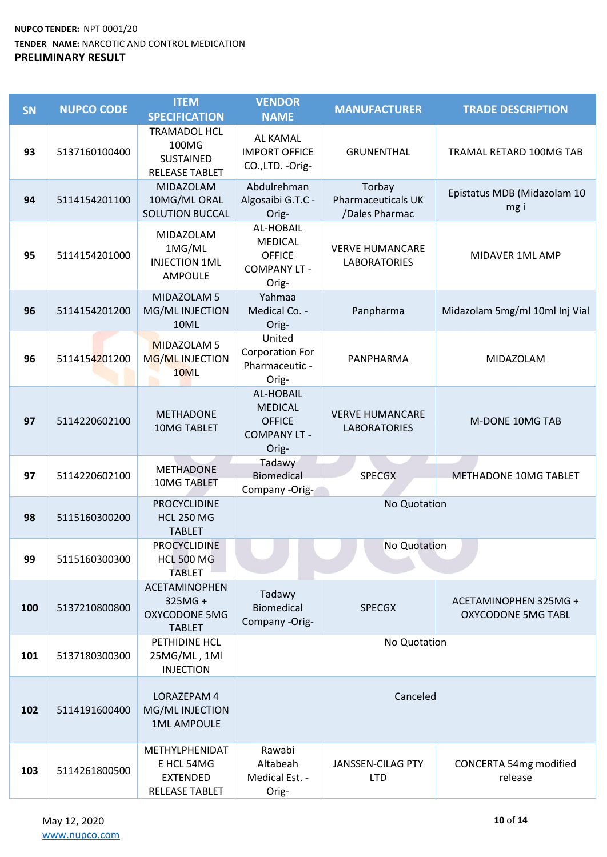| <b>SN</b> | <b>NUPCO CODE</b> | <b>ITEM</b><br><b>SPECIFICATION</b>                                     | <b>VENDOR</b><br><b>NAME</b>                                                 | <b>MANUFACTURER</b>                                   | <b>TRADE DESCRIPTION</b>                           |
|-----------|-------------------|-------------------------------------------------------------------------|------------------------------------------------------------------------------|-------------------------------------------------------|----------------------------------------------------|
| 93        | 5137160100400     | <b>TRAMADOL HCL</b><br>100MG<br>SUSTAINED<br><b>RELEASE TABLET</b>      | <b>AL KAMAL</b><br><b>IMPORT OFFICE</b><br>CO.,LTD. - Orig-                  | <b>GRUNENTHAL</b>                                     | TRAMAL RETARD 100MG TAB                            |
| 94        | 5114154201100     | MIDAZOLAM<br>10MG/ML ORAL<br><b>SOLUTION BUCCAL</b>                     | Abdulrehman<br>Algosaibi G.T.C -<br>Orig-                                    | Torbay<br><b>Pharmaceuticals UK</b><br>/Dales Pharmac | Epistatus MDB (Midazolam 10<br>mg i                |
| 95        | 5114154201000     | MIDAZOLAM<br>1MG/ML<br><b>INJECTION 1ML</b><br>AMPOULE                  | AL-HOBAIL<br><b>MEDICAL</b><br><b>OFFICE</b><br><b>COMPANY LT -</b><br>Orig- | <b>VERVE HUMANCARE</b><br><b>LABORATORIES</b>         | MIDAVER 1ML AMP                                    |
| 96        | 5114154201200     | MIDAZOLAM 5<br>MG/ML INJECTION<br>10ML                                  | Yahmaa<br>Medical Co. -<br>Orig-                                             | Panpharma                                             | Midazolam 5mg/ml 10ml Inj Vial                     |
| 96        | 5114154201200     | MIDAZOLAM 5<br>MG/ML INJECTION<br>10ML                                  | United<br><b>Corporation For</b><br>Pharmaceutic -<br>Orig-                  | PANPHARMA                                             | MIDAZOLAM                                          |
| 97        | 5114220602100     | <b>METHADONE</b><br>10MG TABLET                                         | AL-HOBAIL<br><b>MEDICAL</b><br><b>OFFICE</b><br><b>COMPANY LT -</b><br>Orig- | <b>VERVE HUMANCARE</b><br><b>LABORATORIES</b>         | M-DONE 10MG TAB                                    |
| 97        | 5114220602100     | <b>METHADONE</b><br><b>10MG TABLET</b>                                  | Tadawy<br>Biomedical<br>Company -Orig-                                       | <b>SPECGX</b>                                         | METHADONE 10MG TABLET                              |
| 98        | 5115160300200     | <b>PROCYCLIDINE</b><br><b>HCL 250 MG</b><br><b>TABLET</b>               |                                                                              | No Quotation                                          |                                                    |
| 99        | 5115160300300     | PROCYCLIDINE<br><b>HCL 500 MG</b><br><b>TABLET</b>                      |                                                                              | No Quotation                                          |                                                    |
| 100       | 5137210800800     | <b>ACETAMINOPHEN</b><br>325MG+<br><b>OXYCODONE 5MG</b><br><b>TABLET</b> | Tadawy<br><b>Biomedical</b><br>Company -Orig-                                | <b>SPECGX</b>                                         | ACETAMINOPHEN 325MG +<br><b>OXYCODONE 5MG TABL</b> |
| 101       | 5137180300300     | PETHIDINE HCL<br>25MG/ML, 1Ml<br><b>INJECTION</b>                       |                                                                              | No Quotation                                          |                                                    |
| 102       | 5114191600400     | LORAZEPAM 4<br>MG/ML INJECTION<br><b>1ML AMPOULE</b>                    |                                                                              | Canceled                                              |                                                    |
| 103       | 5114261800500     | METHYLPHENIDAT<br>E HCL 54MG<br><b>EXTENDED</b><br>RELEASE TABLET       | Rawabi<br>Altabeah<br>Medical Est. -<br>Orig-                                | JANSSEN-CILAG PTY<br><b>LTD</b>                       | CONCERTA 54mg modified<br>release                  |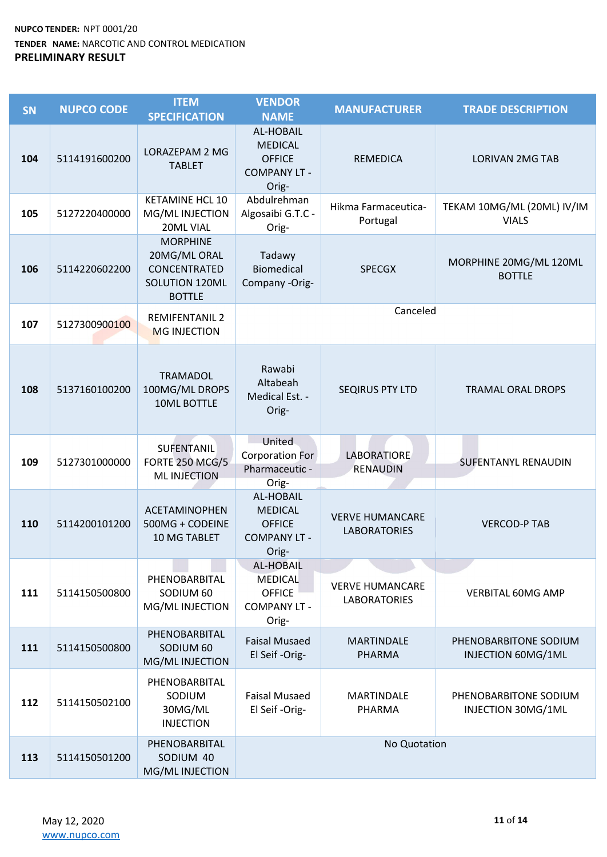| <b>SN</b> | <b>NUPCO CODE</b> | <b>ITEM</b><br><b>SPECIFICATION</b>                                                       | <b>VENDOR</b><br><b>NAME</b>                                                 | <b>MANUFACTURER</b>                           | <b>TRADE DESCRIPTION</b>                    |
|-----------|-------------------|-------------------------------------------------------------------------------------------|------------------------------------------------------------------------------|-----------------------------------------------|---------------------------------------------|
| 104       | 5114191600200     | LORAZEPAM 2 MG<br><b>TABLET</b>                                                           | AL-HOBAIL<br><b>MEDICAL</b><br><b>OFFICE</b><br><b>COMPANY LT -</b><br>Orig- | <b>REMEDICA</b>                               | <b>LORIVAN 2MG TAB</b>                      |
| 105       | 5127220400000     | <b>KETAMINE HCL 10</b><br>MG/ML INJECTION<br>20ML VIAL                                    | Abdulrehman<br>Algosaibi G.T.C -<br>Orig-                                    | Hikma Farmaceutica-<br>Portugal               | TEKAM 10MG/ML (20ML) IV/IM<br><b>VIALS</b>  |
| 106       | 5114220602200     | <b>MORPHINE</b><br>20MG/ML ORAL<br>CONCENTRATED<br><b>SOLUTION 120ML</b><br><b>BOTTLE</b> | Tadawy<br><b>Biomedical</b><br>Company -Orig-                                | <b>SPECGX</b>                                 | MORPHINE 20MG/ML 120ML<br><b>BOTTLE</b>     |
| 107       | 5127300900100     | <b>REMIFENTANIL 2</b><br><b>MG INJECTION</b>                                              |                                                                              | Canceled                                      |                                             |
| 108       | 5137160100200     | <b>TRAMADOL</b><br>100MG/ML DROPS<br>10ML BOTTLE                                          | Rawabi<br>Altabeah<br>Medical Est. -<br>Orig-                                | <b>SEQIRUS PTY LTD</b>                        | <b>TRAMAL ORAL DROPS</b>                    |
| 109       | 5127301000000     | SUFENTANIL<br><b>FORTE 250 MCG/5</b><br><b>ML INJECTION</b>                               | United<br><b>Corporation For</b><br>Pharmaceutic -<br>Orig-                  | <b>LABORATIORE</b><br><b>RENAUDIN</b>         | <b>SUFENTANYL RENAUDIN</b>                  |
| 110       | 5114200101200     | <b>ACETAMINOPHEN</b><br>500MG + CODEINE<br>10 MG TABLET                                   | AL-HOBAIL<br><b>MEDICAL</b><br><b>OFFICE</b><br><b>COMPANY LT -</b><br>Orig- | <b>VERVE HUMANCARE</b><br><b>LABORATORIES</b> | <b>VERCOD-P TAB</b>                         |
| 111       | 5114150500800     | PHENOBARBITAL<br>SODIUM 60<br>MG/ML INJECTION                                             | <b>AL-HOBAIL</b><br>MEDICAL<br><b>OFFICE</b><br><b>COMPANY LT -</b><br>Orig- | <b>VERVE HUMANCARE</b><br><b>LABORATORIES</b> | <b>VERBITAL 60MG AMP</b>                    |
| 111       | 5114150500800     | PHENOBARBITAL<br>SODIUM 60<br>MG/ML INJECTION                                             | <b>Faisal Musaed</b><br>El Seif-Orig-                                        | <b>MARTINDALE</b><br><b>PHARMA</b>            | PHENOBARBITONE SODIUM<br>INJECTION 60MG/1ML |
| 112       | 5114150502100     | PHENOBARBITAL<br>SODIUM<br>30MG/ML<br><b>INJECTION</b>                                    | <b>Faisal Musaed</b><br>El Seif-Orig-                                        | <b>MARTINDALE</b><br>PHARMA                   | PHENOBARBITONE SODIUM<br>INJECTION 30MG/1ML |
| 113       | 5114150501200     | PHENOBARBITAL<br>SODIUM 40<br>MG/ML INJECTION                                             |                                                                              | No Quotation                                  |                                             |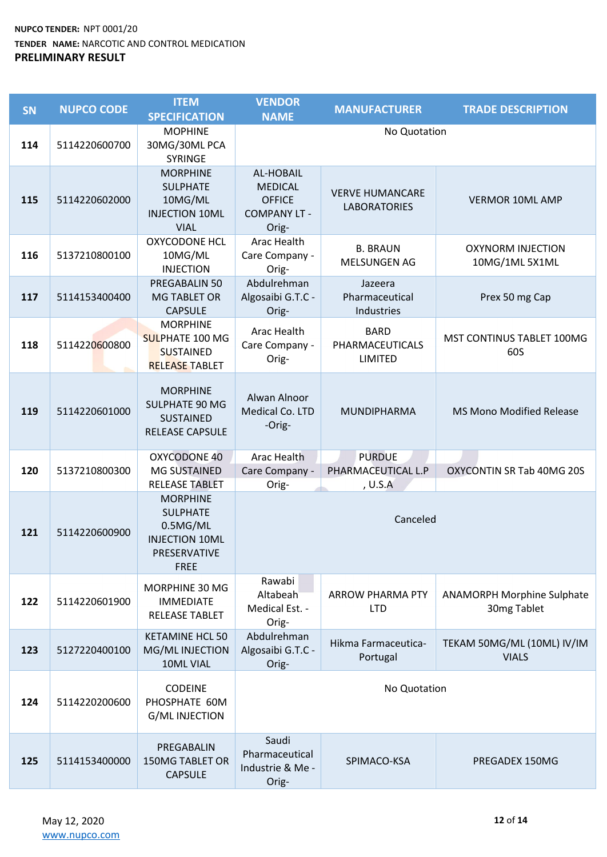| <b>SN</b> | <b>NUPCO CODE</b> | <b>ITEM</b><br><b>SPECIFICATION</b>                                                                    | <b>VENDOR</b><br><b>NAME</b>                                                 | <b>MANUFACTURER</b>                              | <b>TRADE DESCRIPTION</b>                         |
|-----------|-------------------|--------------------------------------------------------------------------------------------------------|------------------------------------------------------------------------------|--------------------------------------------------|--------------------------------------------------|
| 114       | 5114220600700     | <b>MOPHINE</b><br>30MG/30ML PCA<br>SYRINGE                                                             |                                                                              | No Quotation                                     |                                                  |
| 115       | 5114220602000     | <b>MORPHINE</b><br><b>SULPHATE</b><br>10MG/ML<br><b>INJECTION 10ML</b><br><b>VIAL</b>                  | AL-HOBAIL<br><b>MEDICAL</b><br><b>OFFICE</b><br><b>COMPANY LT -</b><br>Orig- | <b>VERVE HUMANCARE</b><br><b>LABORATORIES</b>    | <b>VERMOR 10ML AMP</b>                           |
| 116       | 5137210800100     | <b>OXYCODONE HCL</b><br>10MG/ML<br><b>INJECTION</b>                                                    | Arac Health<br>Care Company -<br>Orig-                                       | <b>B. BRAUN</b><br>MELSUNGEN AG                  | <b>OXYNORM INJECTION</b><br>10MG/1ML 5X1ML       |
| 117       | 5114153400400     | PREGABALIN 50<br><b>MG TABLET OR</b><br><b>CAPSULE</b>                                                 | Abdulrehman<br>Algosaibi G.T.C -<br>Orig-                                    | Jazeera<br>Pharmaceutical<br>Industries          | Prex 50 mg Cap                                   |
| 118       | 5114220600800     | <b>MORPHINE</b><br><b>SULPHATE 100 MG</b><br><b>SUSTAINED</b><br><b>RELEASE TABLET</b>                 | Arac Health<br>Care Company -<br>Orig-                                       | <b>BARD</b><br>PHARMACEUTICALS<br><b>LIMITED</b> | MST CONTINUS TABLET 100MG<br>60S                 |
| 119       | 5114220601000     | <b>MORPHINE</b><br><b>SULPHATE 90 MG</b><br><b>SUSTAINED</b><br><b>RELEASE CAPSULE</b>                 | Alwan Alnoor<br>Medical Co. LTD<br>-Orig-                                    | MUNDIPHARMA                                      | <b>MS Mono Modified Release</b>                  |
| 120       | 5137210800300     | OXYCODONE 40<br><b>MG SUSTAINED</b><br><b>RELEASE TABLET</b>                                           | Arac Health<br>Care Company -<br>Orig-                                       | <b>PURDUE</b><br>PHARMACEUTICAL L.P<br>, U.S.A   | OXYCONTIN SR Tab 40MG 20S                        |
| 121       | 5114220600900     | <b>MORPHINE</b><br><b>SULPHATE</b><br>0.5MG/ML<br><b>INJECTION 10ML</b><br>PRESERVATIVE<br><b>FREE</b> |                                                                              | Canceled                                         |                                                  |
| 122       | 5114220601900     | MORPHINE 30 MG<br><b>IMMEDIATE</b><br><b>RELEASE TABLET</b>                                            | Rawabi<br>Altabeah<br>Medical Est. -<br>Orig-                                | <b>ARROW PHARMA PTY</b><br><b>LTD</b>            | <b>ANAMORPH Morphine Sulphate</b><br>30mg Tablet |
| 123       | 5127220400100     | <b>KETAMINE HCL 50</b><br>MG/ML INJECTION<br>10ML VIAL                                                 | Abdulrehman<br>Algosaibi G.T.C -<br>Orig-                                    | Hikma Farmaceutica-<br>Portugal                  | TEKAM 50MG/ML (10ML) IV/IM<br><b>VIALS</b>       |
| 124       | 5114220200600     | <b>CODEINE</b><br>PHOSPHATE 60M<br><b>G/ML INJECTION</b>                                               |                                                                              | No Quotation                                     |                                                  |
| 125       | 5114153400000     | PREGABALIN<br><b>150MG TABLET OR</b><br><b>CAPSULE</b>                                                 | Saudi<br>Pharmaceutical<br>Industrie & Me -<br>Orig-                         | SPIMACO-KSA                                      | PREGADEX 150MG                                   |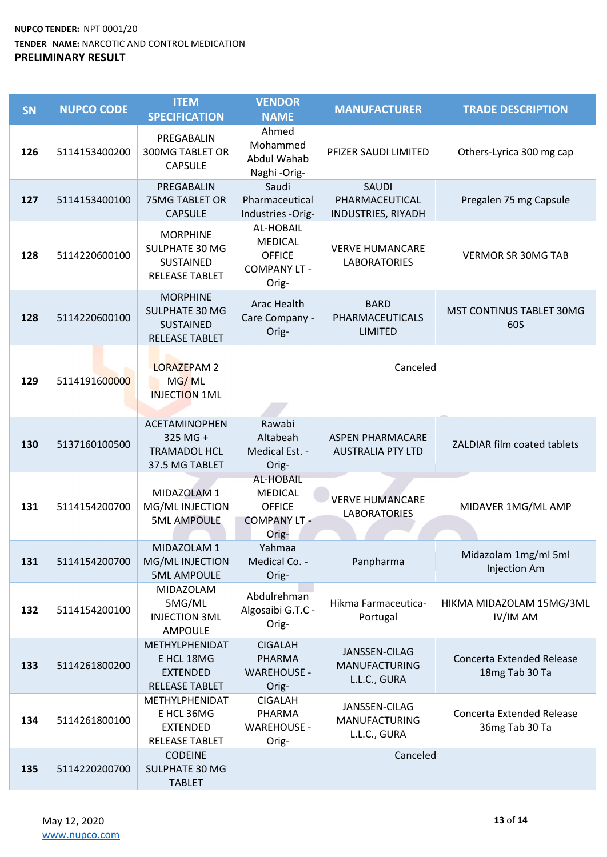| <b>SN</b> | <b>NUPCO CODE</b> | <b>ITEM</b><br><b>SPECIFICATION</b>                                                   | <b>VENDOR</b><br><b>NAME</b>                                                 | <b>MANUFACTURER</b>                                   | <b>TRADE DESCRIPTION</b>                    |  |
|-----------|-------------------|---------------------------------------------------------------------------------------|------------------------------------------------------------------------------|-------------------------------------------------------|---------------------------------------------|--|
| 126       | 5114153400200     | PREGABALIN<br><b>300MG TABLET OR</b><br><b>CAPSULE</b>                                | Ahmed<br>Mohammed<br>Abdul Wahab<br>Naghi-Orig-                              | PFIZER SAUDI LIMITED                                  | Others-Lyrica 300 mg cap                    |  |
| 127       | 5114153400100     | PREGABALIN<br><b>75MG TABLET OR</b><br><b>CAPSULE</b>                                 | Saudi<br>Pharmaceutical<br>Industries -Orig-                                 | <b>SAUDI</b><br>PHARMACEUTICAL<br>INDUSTRIES, RIYADH  | Pregalen 75 mg Capsule                      |  |
| 128       | 5114220600100     | <b>MORPHINE</b><br>SULPHATE 30 MG<br>SUSTAINED<br><b>RELEASE TABLET</b>               | AL-HOBAIL<br><b>MEDICAL</b><br><b>OFFICE</b><br><b>COMPANY LT -</b><br>Orig- | <b>VERVE HUMANCARE</b><br><b>LABORATORIES</b>         | <b>VERMOR SR 30MG TAB</b>                   |  |
| 128       | 5114220600100     | <b>MORPHINE</b><br><b>SULPHATE 30 MG</b><br><b>SUSTAINED</b><br><b>RELEASE TABLET</b> | Arac Health<br>Care Company -<br>Orig-                                       | <b>BARD</b><br>PHARMACEUTICALS<br><b>LIMITED</b>      | <b>MST CONTINUS TABLET 30MG</b><br>60S      |  |
| 129       | 5114191600000     | <b>LORAZEPAM 2</b><br>MG/ML<br><b>INJECTION 1ML</b>                                   | Canceled                                                                     |                                                       |                                             |  |
| 130       | 5137160100500     | ACETAMINOPHEN<br>325 MG +<br><b>TRAMADOL HCL</b><br>37.5 MG TABLET                    | Rawabi<br>Altabeah<br>Medical Est. -<br>Orig-                                | <b>ASPEN PHARMACARE</b><br><b>AUSTRALIA PTY LTD</b>   | ZALDIAR film coated tablets                 |  |
| 131       | 5114154200700     | MIDAZOLAM 1<br>MG/ML INJECTION<br><b>5ML AMPOULE</b>                                  | AL-HOBAIL<br><b>MEDICAL</b><br><b>OFFICE</b><br><b>COMPANY LT -</b><br>Orig- | <b>VERVE HUMANCARE</b><br><b>LABORATORIES</b>         | MIDAVER 1MG/ML AMP                          |  |
| 131       | 5114154200700     | MIDAZOLAM 1<br>MG/ML INJECTION<br><b>5ML AMPOULE</b>                                  | Yahmaa<br>Medical Co. -<br>Orig-                                             | Panpharma                                             | Midazolam 1mg/ml 5ml<br>Injection Am        |  |
| 132       | 5114154200100     | MIDAZOLAM<br>5MG/ML<br><b>INJECTION 3ML</b><br><b>AMPOULE</b>                         | Abdulrehman<br>Algosaibi G.T.C -<br>Orig-                                    | Hikma Farmaceutica-<br>Portugal                       | HIKMA MIDAZOLAM 15MG/3ML<br>IV/IM AM        |  |
| 133       | 5114261800200     | METHYLPHENIDAT<br>E HCL 18MG<br><b>EXTENDED</b><br><b>RELEASE TABLET</b>              | <b>CIGALAH</b><br>PHARMA<br><b>WAREHOUSE -</b><br>Orig-                      | JANSSEN-CILAG<br><b>MANUFACTURING</b><br>L.L.C., GURA | Concerta Extended Release<br>18mg Tab 30 Ta |  |
| 134       | 5114261800100     | METHYLPHENIDAT<br>E HCL 36MG<br><b>EXTENDED</b><br>RELEASE TABLET                     | <b>CIGALAH</b><br>PHARMA<br><b>WAREHOUSE -</b><br>Orig-                      | JANSSEN-CILAG<br><b>MANUFACTURING</b><br>L.L.C., GURA | Concerta Extended Release<br>36mg Tab 30 Ta |  |
| 135       | 5114220200700     | <b>CODEINE</b><br><b>SULPHATE 30 MG</b><br><b>TABLET</b>                              |                                                                              | Canceled                                              |                                             |  |